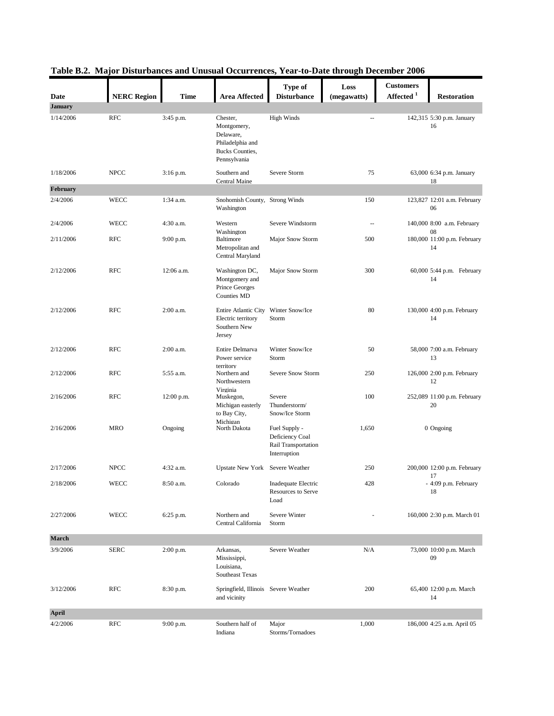|                        | <b>NERC Region</b>   |             |                                                                                             | Type of                                                                 | Loss        | <b>Customers</b><br>Affected $^{\rm 1}$ |                                   |
|------------------------|----------------------|-------------|---------------------------------------------------------------------------------------------|-------------------------------------------------------------------------|-------------|-----------------------------------------|-----------------------------------|
| Date<br><b>January</b> |                      | Time        | <b>Area Affected</b>                                                                        | <b>Disturbance</b>                                                      | (megawatts) |                                         | <b>Restoration</b>                |
| 1/14/2006              | <b>RFC</b>           | 3:45 p.m.   | Chester,<br>Montgomery,<br>Delaware,<br>Philadelphia and<br>Bucks Counties,<br>Pennsylvania | <b>High Winds</b>                                                       |             |                                         | 142,315 5:30 p.m. January<br>16   |
| 1/18/2006              | <b>NPCC</b>          | 3:16 p.m.   | Southern and<br><b>Central Maine</b>                                                        | Severe Storm                                                            | 75          |                                         | 63,000 6:34 p.m. January<br>18    |
| February               |                      |             |                                                                                             |                                                                         |             |                                         |                                   |
| 2/4/2006               | <b>WECC</b>          | $1:34$ a.m. | Snohomish County, Strong Winds<br>Washington                                                |                                                                         | 150         |                                         | 123,827 12:01 a.m. February<br>06 |
| 2/4/2006               | <b>WECC</b>          | 4:30 a.m.   | Western<br>Washington                                                                       | Severe Windstorm                                                        | $\sim$      |                                         | 140,000 8:00 a.m. February<br>08  |
| 2/11/2006              | <b>RFC</b>           | 9:00 p.m.   | <b>Baltimore</b><br>Metropolitan and<br>Central Maryland                                    | Major Snow Storm                                                        | 500         |                                         | 180,000 11:00 p.m. February<br>14 |
| 2/12/2006              | <b>RFC</b>           | 12:06 a.m.  | Washington DC,<br>Montgomery and<br>Prince Georges<br>Counties MD                           | Major Snow Storm                                                        | 300         |                                         | 60,000 5:44 p.m. February<br>14   |
| 2/12/2006              | <b>RFC</b>           | 2:00 a.m.   | Entire Atlantic City<br>Electric territory<br>Southern New<br>Jersey                        | Winter Snow/Ice<br>Storm                                                | 80          |                                         | 130,000 4:00 p.m. February<br>14  |
| 2/12/2006              | <b>RFC</b>           | 2:00 a.m.   | Entire Delmarva<br>Power service                                                            | Winter Snow/Ice<br>Storm                                                | 50          |                                         | 58,000 7:00 a.m. February<br>13   |
| 2/12/2006              | <b>RFC</b>           | 5:55 a.m.   | territory<br>Northern and<br>Northwestern                                                   | Severe Snow Storm                                                       | 250         |                                         | 126,000 2:00 p.m. February<br>12  |
| 2/16/2006              | <b>RFC</b>           | 12:00 p.m.  | Virginia<br>Muskegon,<br>Michigan easterly<br>to Bay City,                                  | Severe<br>Thunderstorm/<br>Snow/Ice Storm                               | 100         |                                         | 252,089 11:00 p.m. February<br>20 |
| 2/16/2006              | MRO                  | Ongoing     | Michigan<br>North Dakota                                                                    | Fuel Supply -<br>Deficiency Coal<br>Rail Transportation<br>Interruption | 1,650       |                                         | 0 Ongoing                         |
| 2/17/2006              | <b>NPCC</b>          | 4:32 a.m.   | Upstate New York Severe Weather                                                             |                                                                         | 250         |                                         | 200,000 12:00 p.m. February       |
| 2/18/2006              | WECC                 | $8:50$ a.m. | $\rm Colorado$                                                                              | Inadequate Electric<br>Resources to Serve<br>Load                       | 428         |                                         | 17<br>- 4:09 p.m. February<br>18  |
| 2/27/2006              | WECC                 | 6:25 p.m.   | Northern and<br>Central California                                                          | Severe Winter<br>Storm                                                  |             |                                         | 160,000 2:30 p.m. March 01        |
| <b>March</b>           |                      |             |                                                                                             |                                                                         |             |                                         |                                   |
| 3/9/2006               | <b>SERC</b>          | 2:00 p.m.   | Arkansas,<br>Mississippi,<br>Louisiana,<br>Southeast Texas                                  | Severe Weather                                                          | N/A         |                                         | 73,000 10:00 p.m. March<br>09     |
| 3/12/2006              | $\operatorname{RFC}$ | 8:30 p.m.   | Springfield, Illinois Severe Weather<br>and vicinity                                        |                                                                         | 200         |                                         | 65,400 12:00 p.m. March<br>14     |
| <b>April</b>           |                      |             |                                                                                             |                                                                         |             |                                         |                                   |
| 4/2/2006               | <b>RFC</b>           | 9:00 p.m.   | Southern half of<br>Indiana                                                                 | Major<br>Storms/Tornadoes                                               | 1,000       |                                         | 186,000 4:25 a.m. April 05        |

|  |  | Table B.2. Major Disturbances and Unusual Occurrences, Year-to-Date through December 2006 |  |  |  |
|--|--|-------------------------------------------------------------------------------------------|--|--|--|
|  |  |                                                                                           |  |  |  |
|  |  |                                                                                           |  |  |  |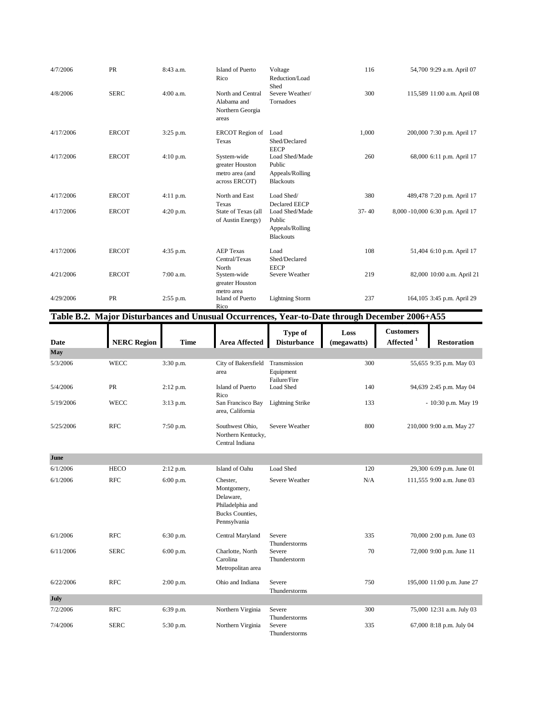| 4/7/2006  | <b>PR</b>    | 8:43 a.m.   | Island of Puerto<br>Rico                                           | Voltage<br>Reduction/Load<br>Shed                                                       | 116       | 54,700 9:29 a.m. April 07        |
|-----------|--------------|-------------|--------------------------------------------------------------------|-----------------------------------------------------------------------------------------|-----------|----------------------------------|
| 4/8/2006  | <b>SERC</b>  | $4:00$ a.m. | North and Central<br>Alabama and<br>Northern Georgia<br>areas      | Severe Weather/<br>Tornadoes                                                            | 300       | 115,589 11:00 a.m. April 08      |
| 4/17/2006 | <b>ERCOT</b> | 3:25 p.m.   | <b>ERCOT</b> Region of<br>Texas                                    | Load<br>Shed/Declared<br><b>EECP</b>                                                    | 1,000     | 200,000 7:30 p.m. April 17       |
| 4/17/2006 | <b>ERCOT</b> | 4:10 p.m.   | System-wide<br>greater Houston<br>metro area (and<br>across ERCOT) | Load Shed/Made<br>Public<br>Appeals/Rolling<br><b>Blackouts</b>                         | 260       | 68,000 6:11 p.m. April 17        |
| 4/17/2006 | <b>ERCOT</b> | $4:11$ p.m. | North and East                                                     | Load Shed/                                                                              | 380       | 489,478 7:20 p.m. April 17       |
| 4/17/2006 | <b>ERCOT</b> | 4:20 p.m.   | Texas<br>State of Texas (all<br>of Austin Energy)                  | <b>Declared EECP</b><br>Load Shed/Made<br>Public<br>Appeals/Rolling<br><b>Blackouts</b> | $37 - 40$ | 8,000 -10,000 6:30 p.m. April 17 |
| 4/17/2006 | <b>ERCOT</b> | 4:35 p.m.   | <b>AEP Texas</b><br>Central/Texas                                  | Load<br>Shed/Declared                                                                   | 108       | 51,404 6:10 p.m. April 17        |
| 4/21/2006 | <b>ERCOT</b> | 7:00 a.m.   | North<br>System-wide<br>greater Houston                            | <b>EECP</b><br>Severe Weather                                                           | 219       | 82,000 10:00 a.m. April 21       |
| 4/29/2006 | <b>PR</b>    | 2:55 p.m.   | metro area<br>Island of Puerto<br>Rico                             | <b>Lightning Storm</b>                                                                  | 237       | 164,105 3:45 p.m. April 29       |

Table B.2. Major Disturbances and Unusual Occurrences, Year-to-Date through December 2006+A55

|             |                    |             |                                                                                                    | Type of                                   | Loss        | <b>Customers</b>     |                            |
|-------------|--------------------|-------------|----------------------------------------------------------------------------------------------------|-------------------------------------------|-------------|----------------------|----------------------------|
| <b>Date</b> | <b>NERC Region</b> | <b>Time</b> | <b>Area Affected</b>                                                                               | <b>Disturbance</b>                        | (megawatts) | $\bf{Affected}$ $^1$ | <b>Restoration</b>         |
| May         |                    |             |                                                                                                    |                                           |             |                      |                            |
| 5/3/2006    | <b>WECC</b>        | 3:30 p.m.   | City of Bakersfield<br>area                                                                        | Transmission<br>Equipment<br>Failure/Fire | 300         |                      | 55,655 9:35 p.m. May 03    |
| 5/4/2006    | PR                 | $2:12$ p.m. | Island of Puerto<br>Rico                                                                           | Load Shed                                 | 140         |                      | 94,639 2:45 p.m. May 04    |
| 5/19/2006   | <b>WECC</b>        | $3:13$ p.m. | San Francisco Bay<br>area, California                                                              | <b>Lightning Strike</b>                   | 133         |                      | - 10:30 p.m. May 19        |
| 5/25/2006   | <b>RFC</b>         | 7:50 p.m.   | Southwest Ohio,<br>Northern Kentucky,<br>Central Indiana                                           | Severe Weather                            | 800         |                      | 210,000 9:00 a.m. May 27   |
| June        |                    |             |                                                                                                    |                                           |             |                      |                            |
| 6/1/2006    | <b>HECO</b>        | $2:12$ p.m. | Island of Oahu                                                                                     | Load Shed                                 | 120         |                      | 29,300 6:09 p.m. June 01   |
| 6/1/2006    | <b>RFC</b>         | 6:00 p.m.   | Chester,<br>Montgomery,<br>Delaware,<br>Philadelphia and<br><b>Bucks Counties,</b><br>Pennsylvania | Severe Weather                            | N/A         |                      | 111,555 9:00 a.m. June 03  |
| 6/1/2006    | <b>RFC</b>         | 6:30 p.m.   | Central Maryland                                                                                   | Severe<br>Thunderstorms                   | 335         |                      | 70,000 2:00 p.m. June 03   |
| 6/11/2006   | <b>SERC</b>        | 6:00 p.m.   | Charlotte, North<br>Carolina<br>Metropolitan area                                                  | Severe<br>Thunderstorm                    | 70          |                      | 72,000 9:00 p.m. June 11   |
| 6/22/2006   | <b>RFC</b>         | $2:00$ p.m. | Ohio and Indiana                                                                                   | Severe<br>Thunderstorms                   | 750         |                      | 195,000 11:00 p.m. June 27 |
| July        |                    |             |                                                                                                    |                                           |             |                      |                            |
| 7/2/2006    | <b>RFC</b>         | 6:39 p.m.   | Northern Virginia                                                                                  | Severe<br>Thunderstorms                   | 300         |                      | 75,000 12:31 a.m. July 03  |
| 7/4/2006    | <b>SERC</b>        | 5:30 p.m.   | Northern Virginia                                                                                  | Severe<br>Thunderstorms                   | 335         |                      | 67,000 8:18 p.m. July 04   |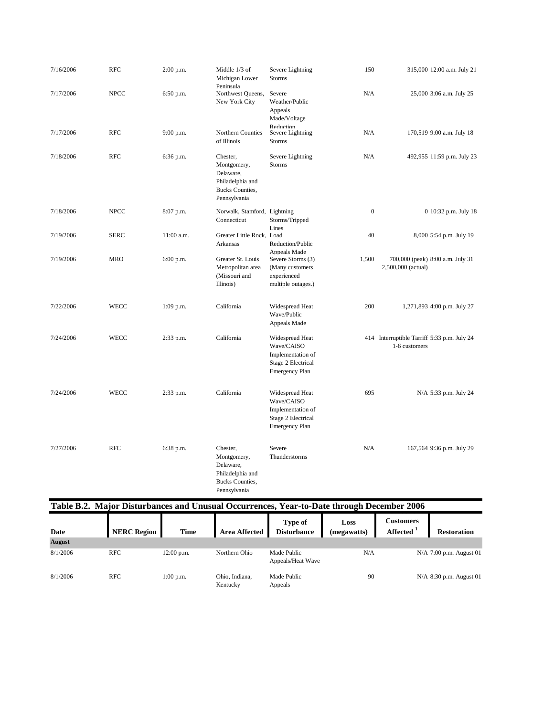| 7/16/2006 | <b>RFC</b>  | 2:00 p.m.    | Middle 1/3 of<br>Michigan Lower<br>Peninsula                                                       | Severe Lightning<br>Storms                                                                        | 150              | 315,000 12:00 a.m. July 21                                   |
|-----------|-------------|--------------|----------------------------------------------------------------------------------------------------|---------------------------------------------------------------------------------------------------|------------------|--------------------------------------------------------------|
| 7/17/2006 | <b>NPCC</b> | 6:50 p.m.    | Northwest Queens,<br>New York City                                                                 | Severe<br>Weather/Public<br>Appeals<br>Made/Voltage<br>Reduction                                  | N/A              | 25,000 3:06 a.m. July 25                                     |
| 7/17/2006 | <b>RFC</b>  | 9:00 p.m.    | Northern Counties<br>of Illinois                                                                   | Severe Lightning<br><b>Storms</b>                                                                 | N/A              | 170,519 9:00 a.m. July 18                                    |
| 7/18/2006 | <b>RFC</b>  | 6:36 p.m.    | Chester,<br>Montgomery,<br>Delaware,<br>Philadelphia and<br><b>Bucks Counties,</b><br>Pennsylvania | Severe Lightning<br><b>Storms</b>                                                                 | N/A              | 492,955 11:59 p.m. July 23                                   |
| 7/18/2006 | <b>NPCC</b> | 8:07 p.m.    | Norwalk, Stamford, Lightning<br>Connecticut                                                        | Storms/Tripped<br>Lines                                                                           | $\boldsymbol{0}$ | 0 10:32 p.m. July 18                                         |
| 7/19/2006 | <b>SERC</b> | $11:00$ a.m. | Greater Little Rock, Load<br>Arkansas                                                              | Reduction/Public<br>Appeals Made                                                                  | 40               | 8,000 5:54 p.m. July 19                                      |
| 7/19/2006 | <b>MRO</b>  | 6:00 p.m.    | Greater St. Louis<br>Metropolitan area<br>(Missouri and<br>Illinois)                               | Severe Storms (3)<br>(Many customers<br>experienced<br>multiple outages.)                         | 1,500            | 700,000 (peak) 8:00 a.m. July 31<br>2,500,000 (actual)       |
| 7/22/2006 | WECC        | 1:09 p.m.    | California                                                                                         | Widespread Heat<br>Wave/Public<br>Appeals Made                                                    | 200              | 1,271,893 4:00 p.m. July 27                                  |
| 7/24/2006 | WECC        | 2:33 p.m.    | California                                                                                         | Widespread Heat<br>Wave/CAISO<br>Implementation of<br>Stage 2 Electrical<br><b>Emergency Plan</b> |                  | 414 Interruptible Tarriff 5:33 p.m. July 24<br>1-6 customers |
| 7/24/2006 | <b>WECC</b> | 2:33 p.m.    | California                                                                                         | Widespread Heat<br>Wave/CAISO<br>Implementation of<br>Stage 2 Electrical<br><b>Emergency Plan</b> | 695              | N/A 5:33 p.m. July 24                                        |
| 7/27/2006 | <b>RFC</b>  | 6:38 p.m.    | Chester,<br>Montgomery,<br>Delaware,<br>Philadelphia and<br><b>Bucks Counties,</b><br>Pennsylvania | Severe<br>Thunderstorms                                                                           | N/A              | 167,564 9:36 p.m. July 29                                    |

| Table B.2. Major Disturbances and Unusual Occurrences, Year-to-Date through December 2006 |                    |              |                            |                                  |                     |                              |                           |  |  |  |
|-------------------------------------------------------------------------------------------|--------------------|--------------|----------------------------|----------------------------------|---------------------|------------------------------|---------------------------|--|--|--|
| Date                                                                                      | <b>NERC Region</b> | <b>Time</b>  | <b>Area Affected</b>       | Type of<br><b>Disturbance</b>    | Loss<br>(megawatts) | <b>Customers</b><br>Affected | <b>Restoration</b>        |  |  |  |
| <b>August</b>                                                                             |                    |              |                            |                                  |                     |                              |                           |  |  |  |
| 8/1/2006                                                                                  | RFC                | $12:00$ p.m. | Northern Ohio              | Made Public<br>Appeals/Heat Wave | N/A                 |                              | $N/A$ 7:00 p.m. August 01 |  |  |  |
| 8/1/2006                                                                                  | <b>RFC</b>         | $1:00$ p.m.  | Ohio, Indiana,<br>Kentucky | Made Public<br>Appeals           | 90                  |                              | $N/A$ 8:30 p.m. August 01 |  |  |  |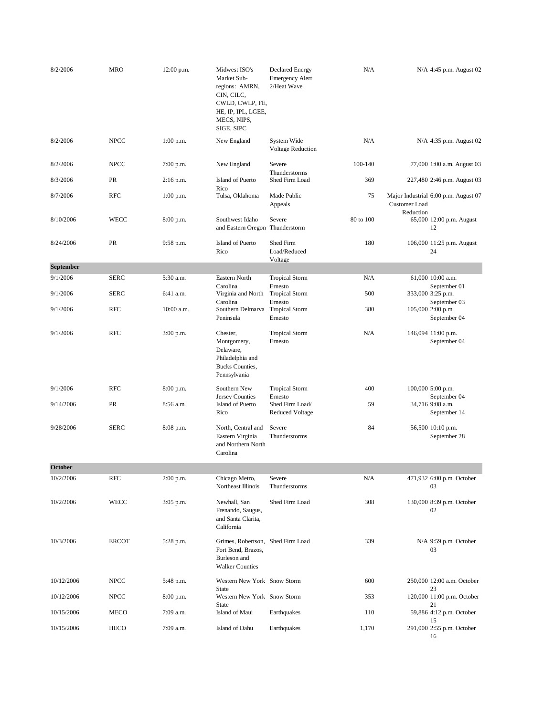| 8/2/2006   | <b>MRO</b>   | 12:00 p.m.  | Midwest ISO's<br>Market Sub-<br>regions: AMRN,<br>CIN, CILC,<br>CWLD, CWLP, FE,<br>HE, IP, IPL, LGEE,<br>MECS, NIPS,<br>SIGE, SIPC | <b>Declared Energy</b><br><b>Emergency Alert</b><br>2/Heat Wave | N/A       |                            | N/A 4:45 p.m. August 02                           |
|------------|--------------|-------------|------------------------------------------------------------------------------------------------------------------------------------|-----------------------------------------------------------------|-----------|----------------------------|---------------------------------------------------|
| 8/2/2006   | <b>NPCC</b>  | $1:00$ p.m. | New England                                                                                                                        | System Wide<br>Voltage Reduction                                | N/A       |                            | N/A 4:35 p.m. August 02                           |
| 8/2/2006   | <b>NPCC</b>  | 7:00 p.m.   | New England                                                                                                                        | Severe                                                          | 100-140   |                            | 77,000 1:00 a.m. August 03                        |
| 8/3/2006   | PR           | $2:16$ p.m. | Island of Puerto                                                                                                                   | Thunderstorms<br>Shed Firm Load                                 | 369       |                            | 227,480 2:46 p.m. August 03                       |
| 8/7/2006   | <b>RFC</b>   | $1:00$ p.m. | Rico<br>Tulsa, Oklahoma                                                                                                            | Made Public<br>Appeals                                          | 75        | Customer Load<br>Reduction | Major Industrial 6:00 p.m. August 07              |
| 8/10/2006  | <b>WECC</b>  | 8:00 p.m.   | Southwest Idaho<br>and Eastern Oregon Thunderstorm                                                                                 | Severe                                                          | 80 to 100 |                            | 65,000 12:00 p.m. August<br>12                    |
| 8/24/2006  | PR           | 9:58 p.m.   | Island of Puerto<br>Rico                                                                                                           | Shed Firm<br>Load/Reduced<br>Voltage                            | 180       |                            | 106,000 11:25 p.m. August<br>24                   |
| September  |              |             |                                                                                                                                    |                                                                 |           |                            |                                                   |
| 9/1/2006   | <b>SERC</b>  | 5:30 a.m.   | Eastern North<br>Carolina                                                                                                          | <b>Tropical Storm</b>                                           | N/A       |                            | 61,000 10:00 a.m.                                 |
| 9/1/2006   | <b>SERC</b>  | 6:41 a.m.   | Virginia and North<br>Carolina                                                                                                     | Ernesto<br><b>Tropical Storm</b><br>Ernesto                     | 500       |                            | September 01<br>333,000 3:25 p.m.<br>September 03 |
| 9/1/2006   | <b>RFC</b>   | 10:00 a.m.  | Southern Delmarva Tropical Storm<br>Peninsula                                                                                      | Ernesto                                                         | 380       |                            | 105,000 2:00 p.m.<br>September 04                 |
| 9/1/2006   | <b>RFC</b>   | 3:00 p.m.   | Chester,<br>Montgomery,<br>Delaware,<br>Philadelphia and<br>Bucks Counties,<br>Pennsylvania                                        | <b>Tropical Storm</b><br>Ernesto                                | N/A       |                            | 146,094 11:00 p.m.<br>September 04                |
| 9/1/2006   | <b>RFC</b>   | 8:00 p.m.   | Southern New<br>Jersey Counties                                                                                                    | <b>Tropical Storm</b><br>Ernesto                                | 400       |                            | 100,000 5:00 p.m.<br>September 04                 |
| 9/14/2006  | PR           | 8:56 a.m.   | Island of Puerto<br>Rico                                                                                                           | Shed Firm Load/<br><b>Reduced Voltage</b>                       | 59        |                            | 34,716 9:08 a.m.<br>September 14                  |
| 9/28/2006  | <b>SERC</b>  | 8:08 p.m.   | North, Central and<br>Eastern Virginia<br>and Northern North<br>Carolina                                                           | Severe<br>Thunderstorms                                         | 84        |                            | 56,500 10:10 p.m.<br>September 28                 |
| October    |              |             |                                                                                                                                    |                                                                 |           |                            |                                                   |
| 10/2/2006  | <b>RFC</b>   | $2:00$ p.m. | Chicago Metro,<br>Northeast Illinois                                                                                               | Severe<br>Thunderstorms                                         | N/A       |                            | 471,932 6:00 p.m. October<br>03                   |
| 10/2/2006  | <b>WECC</b>  | 3:05 p.m.   | Newhall, San<br>Frenando, Saugus,<br>and Santa Clarita,<br>California                                                              | Shed Firm Load                                                  | 308       |                            | 130,000 8:39 p.m. October<br>02                   |
| 10/3/2006  | <b>ERCOT</b> | 5:28 p.m.   | Grimes, Robertson, Shed Firm Load<br>Fort Bend, Brazos,<br>Burleson and<br><b>Walker Counties</b>                                  |                                                                 | 339       |                            | $N/A$ 9:59 p.m. October<br>03                     |
| 10/12/2006 | <b>NPCC</b>  | 5:48 p.m.   | Western New York Snow Storm<br>State                                                                                               |                                                                 | 600       |                            | 250,000 12:00 a.m. October<br>23                  |
| 10/12/2006 | <b>NPCC</b>  | 8:00 p.m.   | Western New York Snow Storm<br>State                                                                                               |                                                                 | 353       |                            | 120,000 11:00 p.m. October<br>21                  |
| 10/15/2006 | MECO         | 7:09 a.m.   | Island of Maui                                                                                                                     | Earthquakes                                                     | 110       |                            | 59,886 4:12 p.m. October                          |
| 10/15/2006 | HECO         | 7:09 a.m.   | Island of Oahu                                                                                                                     | Earthquakes                                                     | 1,170     |                            | 15<br>291,000 2:55 p.m. October<br>16             |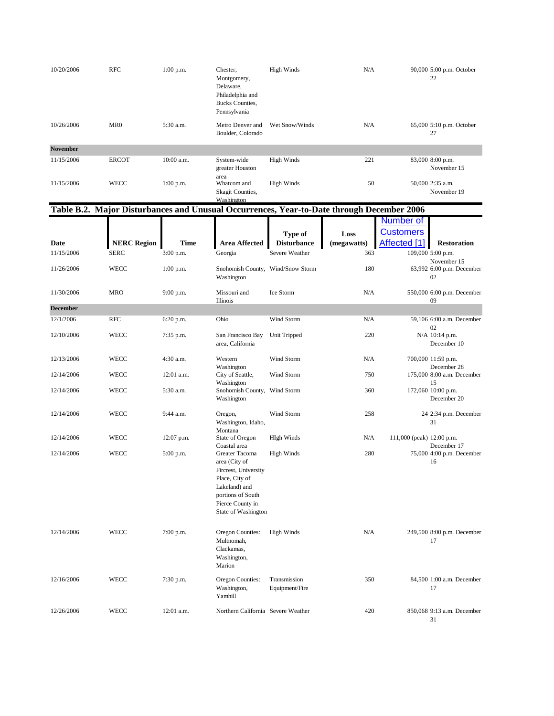| 10/20/2006      | <b>RFC</b>                                                                                | $1:00$ p.m. | Chester,<br>Montgomery,<br>Delaware,<br>Philadelphia and<br>Bucks Counties,<br>Pennsylvania                                                                                | <b>High Winds</b>              | N/A         |                           | 90,000 5:00 p.m. October<br>22                 |
|-----------------|-------------------------------------------------------------------------------------------|-------------|----------------------------------------------------------------------------------------------------------------------------------------------------------------------------|--------------------------------|-------------|---------------------------|------------------------------------------------|
| 10/26/2006      | MR <sub>0</sub>                                                                           | 5:30 a.m.   | Metro Denver and<br>Boulder, Colorado                                                                                                                                      | Wet Snow/Winds                 | N/A         |                           | 65,000 5:10 p.m. October<br>27                 |
| <b>November</b> |                                                                                           |             |                                                                                                                                                                            |                                |             |                           |                                                |
| 11/15/2006      | <b>ERCOT</b>                                                                              | 10:00 a.m.  | System-wide<br>greater Houston<br>area                                                                                                                                     | <b>High Winds</b>              | 221         |                           | 83,000 8:00 p.m.<br>November 15                |
| 11/15/2006      | <b>WECC</b>                                                                               | $1:00$ p.m. | Whatcom and<br>Skagit Counties,<br>Washington                                                                                                                              | <b>High Winds</b>              | 50          |                           | 50,000 2:35 a.m.<br>November 19                |
|                 | Table B.2. Major Disturbances and Unusual Occurrences, Year-to-Date through December 2006 |             |                                                                                                                                                                            |                                |             |                           |                                                |
|                 |                                                                                           |             |                                                                                                                                                                            |                                |             | Number of                 |                                                |
|                 |                                                                                           |             |                                                                                                                                                                            | Type of                        | Loss        | <b>Customers</b>          |                                                |
| Date            | <b>NERC Region</b>                                                                        | Time        | <b>Area Affected</b>                                                                                                                                                       | <b>Disturbance</b>             | (megawatts) | Affected [1]              | <b>Restoration</b>                             |
| 11/15/2006      | <b>SERC</b>                                                                               | 3:00 p.m.   | Georgia                                                                                                                                                                    | Severe Weather                 | 363         |                           | 109,000 5:00 p.m.                              |
| 11/26/2006      | <b>WECC</b>                                                                               | $1:00$ p.m. | Snohomish County, Wind/Snow Storm<br>Washington                                                                                                                            |                                | 180         |                           | November 15<br>63,992 6:00 p.m. December<br>02 |
| 11/30/2006      | <b>MRO</b>                                                                                | 9:00 p.m.   | Missouri and<br>Illinois                                                                                                                                                   | Ice Storm                      | N/A         |                           | 550,000 6:00 p.m. December<br>09               |
| <b>December</b> |                                                                                           |             |                                                                                                                                                                            |                                |             |                           |                                                |
| 12/1/2006       | <b>RFC</b>                                                                                | 6:20 p.m.   | Ohio                                                                                                                                                                       | Wind Storm                     | N/A         |                           | 59,106 6:00 a.m. December<br>02                |
| 12/10/2006      | WECC                                                                                      | 7:35 p.m.   | San Francisco Bay<br>area, California                                                                                                                                      | Unit Tripped                   | 220         |                           | N/A 10:14 p.m.<br>December 10                  |
| 12/13/2006      | WECC                                                                                      | 4:30 a.m.   | Western<br>Washington                                                                                                                                                      | Wind Storm                     | N/A         |                           | 700,000 11:59 p.m.<br>December 28              |
| 12/14/2006      | WECC                                                                                      | 12:01 a.m.  | City of Seattle,<br>Washington                                                                                                                                             | Wind Storm                     | 750         |                           | 175,000 8:00 a.m. December<br>15               |
| 12/14/2006      | WECC                                                                                      | 5:30 a.m.   | Snohomish County, Wind Storm<br>Washington                                                                                                                                 |                                | 360         |                           | 172,060 10:00 p.m.<br>December 20              |
| 12/14/2006      | <b>WECC</b>                                                                               | 9:44 a.m.   | Oregon,<br>Washington, Idaho,                                                                                                                                              | Wind Storm                     | 258         |                           | 24 2:34 p.m. December<br>31                    |
| 12/14/2006      | WECC                                                                                      | 12:07 p.m.  | Montana<br>State of Oregon                                                                                                                                                 | <b>HIgh Winds</b>              | N/A         | 111,000 (peak) 12:00 p.m. |                                                |
| 12/14/2006      | WECC                                                                                      | 5:00 p.m.   | Coastal area<br>Greater Tacoma<br>area (City of<br>Fircrest, University<br>Place, City of<br>Lakeland) and<br>portions of South<br>Pierce County in<br>State of Washington | <b>High Winds</b>              | 280         |                           | December 17<br>75,000 4:00 p.m. December<br>16 |
| 12/14/2006      | <b>WECC</b>                                                                               | 7:00 p.m.   | <b>Oregon Counties:</b><br>Multnomah,<br>Clackamas,<br>Washington,<br>Marion                                                                                               | <b>High Winds</b>              | N/A         |                           | 249,500 8:00 p.m. December<br>17               |
| 12/16/2006      | <b>WECC</b>                                                                               | 7:30 p.m.   | Oregon Counties:<br>Washington,<br>Yamhill                                                                                                                                 | Transmission<br>Equipment/Fire | 350         |                           | 84,500 1:00 a.m. December<br>17                |
| 12/26/2006      | WECC                                                                                      | 12:01 a.m.  | Northern California Severe Weather                                                                                                                                         |                                | 420         |                           | 850,068 9:13 a.m. December<br>31               |